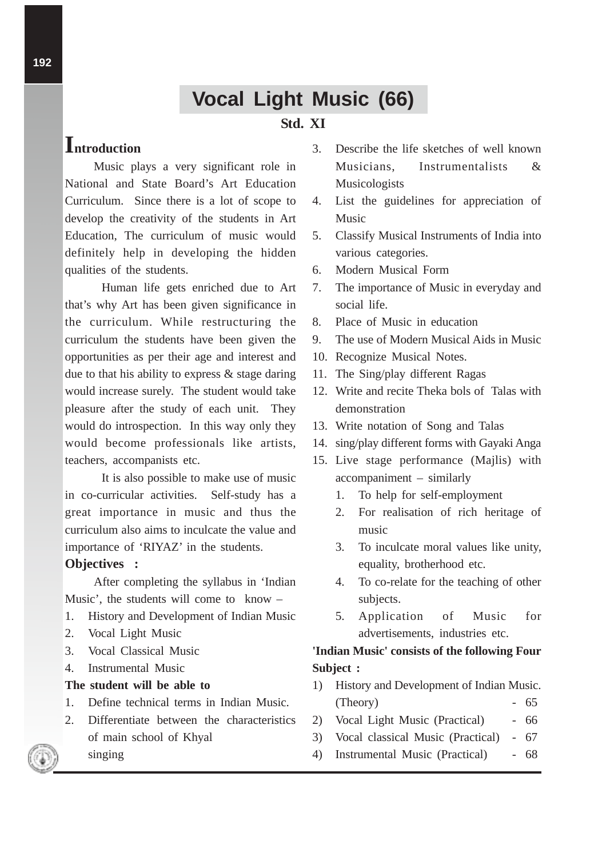# **Vocal Light Music (66)**

## **Std. XI**

# **Introduction**

Music plays a very significant role in National and State Board's Art Education Curriculum. Since there is a lot of scope to develop the creativity of the students in Art Education, The curriculum of music would definitely help in developing the hidden qualities of the students.

Human life gets enriched due to Art that's why Art has been given significance in the curriculum. While restructuring the curriculum the students have been given the opportunities as per their age and interest and due to that his ability to express & stage daring would increase surely. The student would take pleasure after the study of each unit. They would do introspection. In this way only they would become professionals like artists, teachers, accompanists etc.

It is also possible to make use of music in co-curricular activities. Self-study has a great importance in music and thus the curriculum also aims to inculcate the value and importance of 'RIYAZ' in the students.

#### **Objectives :**

After completing the syllabus in 'Indian Music', the students will come to know –

- 1. History and Development of Indian Music
- 2. Vocal Light Music
- 3. Vocal Classical Music
- 4. Instrumental Music

singing

#### **The student will be able to**

- 1. Define technical terms in Indian Music.
- 2. Differentiate between the characteristics of main school of Khyal
- 
- 3. Describe the life sketches of well known Musicians, Instrumentalists & Musicologists
- 4. List the guidelines for appreciation of Music
- 5. Classify Musical Instruments of India into various categories.
- 6. Modern Musical Form
- 7. The importance of Music in everyday and social life.
- 8. Place of Music in education
- 9. The use of Modern Musical Aids in Music
- 10. Recognize Musical Notes.
- 11. The Sing/play different Ragas
- 12. Write and recite Theka bols of Talas with demonstration
- 13. Write notation of Song and Talas
- 14. sing/play different forms with Gayaki Anga
- 15. Live stage performance (Majlis) with accompaniment – similarly
	- 1. To help for self-employment
	- 2. For realisation of rich heritage of music
	- 3. To inculcate moral values like unity, equality, brotherhood etc.
	- 4. To co-relate for the teaching of other subjects.
	- 5. Application of Music for advertisements, industries etc.

### **'Indian Music' consists of the following Four Subject :**

- 1) History and Development of Indian Music. (Theory) - 65
- 2) Vocal Light Music (Practical) 66
- 3) Vocal classical Music (Practical) 67
- 4) Instrumental Music (Practical) 68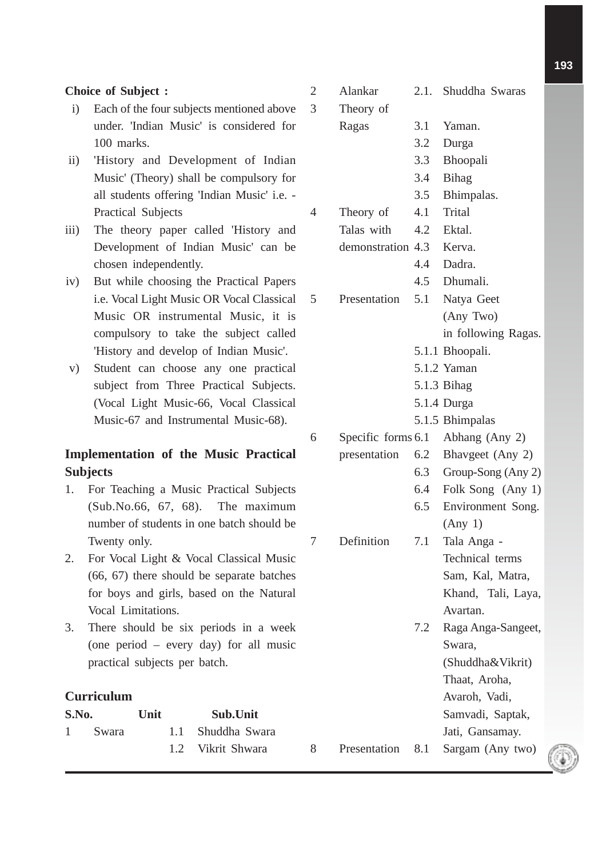#### **Choice of Subject :**

- i) Each of the four subjects mentioned above under. 'Indian Music' is considered for 100 marks.
- ii) 'History and Development of Indian Music' (Theory) shall be compulsory for all students offering 'Indian Music' i.e. - Practical Subjects
- iii) The theory paper called 'History and Development of Indian Music' can be chosen independently.
- iv) But while choosing the Practical Papers i.e. Vocal Light Music OR Vocal Classical Music OR instrumental Music, it is compulsory to take the subject called 'History and develop of Indian Music'.
- v) Student can choose any one practical subject from Three Practical Subjects. (Vocal Light Music-66, Vocal Classical Music-67 and Instrumental Music-68).

### **Implementation of the Music Practical Subjects**

- 1. For Teaching a Music Practical Subjects (Sub.No.66, 67, 68). The maximum number of students in one batch should be Twenty only.
- 2. For Vocal Light & Vocal Classical Music (66, 67) there should be separate batches for boys and girls, based on the Natural Vocal Limitations.
- 3. There should be six periods in a week (one period – every day) for all music practical subjects per batch.

#### **Curriculum**

| S.No. |         | Unit |  | Sub.Unit          |  |  |
|-------|---------|------|--|-------------------|--|--|
|       | 1 Swara |      |  | 1.1 Shuddha Swara |  |  |
|       |         |      |  | 1.2 Vikrit Shwara |  |  |

| $\overline{2}$<br>3 | Alankar<br>Theory of |     | 2.1. Shuddha Swaras               |
|---------------------|----------------------|-----|-----------------------------------|
|                     | Ragas                | 3.1 | Yaman.                            |
|                     |                      | 3.2 | Durga                             |
|                     |                      | 3.3 | Bhoopali                          |
|                     |                      | 3.4 | <b>Bihag</b>                      |
|                     |                      | 3.5 | Bhimpalas.                        |
| 4                   | Theory of            | 4.1 | <b>Trital</b>                     |
|                     | Talas with           | 4.2 | Ektal.                            |
|                     | demonstration 4.3    |     | Kerva.                            |
|                     |                      | 4.4 | Dadra.                            |
|                     |                      | 4.5 | Dhumali.                          |
| 5                   | Presentation         | 5.1 | Natya Geet                        |
|                     |                      |     | (Any Two)                         |
|                     |                      |     | in following Ragas.               |
|                     |                      |     | 5.1.1 Bhoopali.                   |
|                     |                      |     | 5.1.2 Yaman                       |
|                     |                      |     | 5.1.3 Bihag                       |
|                     |                      |     | 5.1.4 Durga                       |
|                     |                      |     | 5.1.5 Bhimpalas                   |
| 6                   |                      |     | Specific forms 6.1 Abhang (Any 2) |
|                     | presentation         | 6.2 | Bhavgeet (Any 2)                  |
|                     |                      | 6.3 | Group-Song (Any 2)                |
|                     |                      | 6.4 | Folk Song (Any 1)                 |
|                     |                      | 6.5 | Environment Song.                 |
|                     |                      |     | (Any 1)                           |
| 7                   | Definition           | 7.1 | Tala Anga -                       |
|                     |                      |     | Technical terms                   |
|                     |                      |     | Sam, Kal, Matra,                  |
|                     |                      |     | Khand, Tali, Laya,                |
|                     |                      |     | Avartan.                          |
|                     |                      | 7.2 | Raga Anga-Sangeet,                |
|                     |                      |     | Swara,                            |
|                     |                      |     | (Shuddha&Vikrit)                  |
|                     |                      |     | Thaat, Aroha,                     |
|                     |                      |     | Avaroh, Vadi,                     |
|                     |                      |     | Samvadi, Saptak,                  |
|                     |                      |     | Jati, Gansamay.                   |

8 Presentation 8.1 Sargam (Any two)

**193**

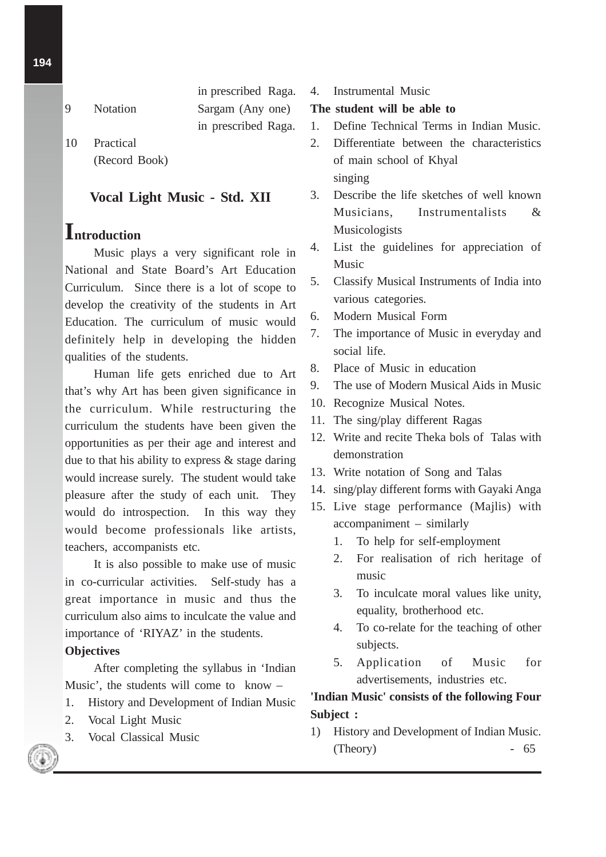- in prescribed Raga. 9 Notation Sargam (Any one) in prescribed Raga.
- 10 Practical (Record Book)

#### **Vocal Light Music - Std. XII**

# **Introduction**

Music plays a very significant role in National and State Board's Art Education Curriculum. Since there is a lot of scope to develop the creativity of the students in Art Education. The curriculum of music would definitely help in developing the hidden qualities of the students.

Human life gets enriched due to Art that's why Art has been given significance in the curriculum. While restructuring the curriculum the students have been given the opportunities as per their age and interest and due to that his ability to express & stage daring would increase surely. The student would take pleasure after the study of each unit. They would do introspection. In this way they would become professionals like artists, teachers, accompanists etc.

It is also possible to make use of music in co-curricular activities. Self-study has a great importance in music and thus the curriculum also aims to inculcate the value and importance of 'RIYAZ' in the students.

#### **Objectives**

After completing the syllabus in 'Indian Music', the students will come to know –

- 1. History and Development of Indian Music
- 2. Vocal Light Music
- 3. Vocal Classical Music

#### 4. Instrumental Music

#### **The student will be able to**

- 1. Define Technical Terms in Indian Music.
- 2. Differentiate between the characteristics of main school of Khyal singing
- 3. Describe the life sketches of well known Musicians, Instrumentalists & Musicologists
- 4. List the guidelines for appreciation of Music
- 5. Classify Musical Instruments of India into various categories.
- 6. Modern Musical Form
- 7. The importance of Music in everyday and social life.
- 8. Place of Music in education
- 9. The use of Modern Musical Aids in Music
- 10. Recognize Musical Notes.
- 11. The sing/play different Ragas
- 12. Write and recite Theka bols of Talas with demonstration
- 13. Write notation of Song and Talas
- 14. sing/play different forms with Gayaki Anga
- 15. Live stage performance (Majlis) with accompaniment – similarly
	- 1. To help for self-employment
	- 2. For realisation of rich heritage of music
	- 3. To inculcate moral values like unity, equality, brotherhood etc.
	- 4. To co-relate for the teaching of other subjects.
	- 5. Application of Music for advertisements, industries etc.

#### **'Indian Music' consists of the following Four Subject :**

1) History and Development of Indian Music. (Theory) - 65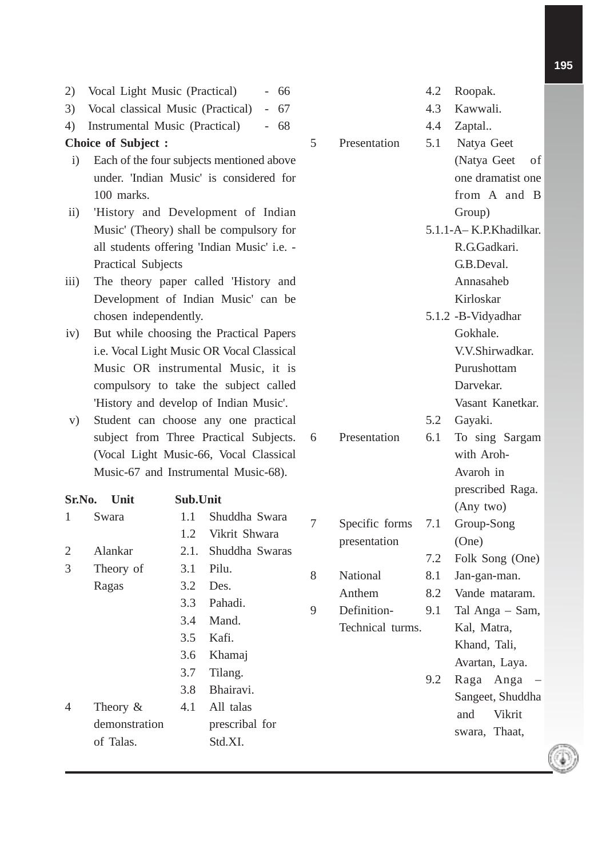| 2)                        | Vocal Light Music (Practical)        |          | 66                                          |     |                  | 4.2       | Roopak.                        |  |
|---------------------------|--------------------------------------|----------|---------------------------------------------|-----|------------------|-----------|--------------------------------|--|
| 3)                        | Vocal classical Music (Practical)    |          | $-67$                                       |     |                  | 4.3       | Kawwali.                       |  |
| 4)                        | Instrumental Music (Practical)       |          | $-68$                                       |     |                  | 4.4       | Zaptal                         |  |
| <b>Choice of Subject:</b> |                                      | 5        | Presentation                                | 5.1 | Natya Geet       |           |                                |  |
| $\mathbf{i}$              |                                      |          | Each of the four subjects mentioned above   |     |                  |           | (Natya Geet<br>of              |  |
|                           |                                      |          | under. 'Indian Music' is considered for     |     |                  |           | one dramatist one              |  |
|                           | 100 marks.                           |          |                                             |     |                  |           | from A and B                   |  |
| $\rm ii)$                 |                                      |          | 'History and Development of Indian          |     |                  |           | Group)                         |  |
|                           |                                      |          | Music' (Theory) shall be compulsory for     |     |                  |           | 5.1.1-A-K.P.Khadilkar.         |  |
|                           |                                      |          | all students offering 'Indian Music' i.e. - |     |                  |           | R.G.Gadkari.                   |  |
|                           | Practical Subjects                   |          |                                             |     |                  |           | G.B.Deval.                     |  |
| $\overline{111}$ )        | The theory paper called 'History and |          |                                             |     |                  | Annasaheb |                                |  |
|                           |                                      |          | Development of Indian Music' can be         |     |                  |           | Kirloskar                      |  |
|                           | chosen independently.                |          |                                             |     |                  |           | 5.1.2 -B-Vidyadhar             |  |
| iv)                       |                                      |          | But while choosing the Practical Papers     |     |                  |           | Gokhale.                       |  |
|                           |                                      |          | i.e. Vocal Light Music OR Vocal Classical   |     |                  |           | V.V.Shirwadkar.                |  |
|                           |                                      |          | Music OR instrumental Music, it is          |     |                  |           | Purushottam                    |  |
|                           |                                      |          | compulsory to take the subject called       |     |                  |           | Darvekar.                      |  |
|                           |                                      |          | 'History and develop of Indian Music'.      |     |                  |           | Vasant Kanetkar.               |  |
| V)                        |                                      |          | Student can choose any one practical        |     |                  | 5.2       | Gayaki.                        |  |
|                           |                                      |          | subject from Three Practical Subjects.      | 6   | Presentation     | 6.1       | To sing Sargam                 |  |
|                           |                                      |          | (Vocal Light Music-66, Vocal Classical      |     |                  |           | with Aroh-                     |  |
|                           |                                      |          | Music-67 and Instrumental Music-68).        |     |                  |           | Avaroh in                      |  |
|                           |                                      |          |                                             |     |                  |           | prescribed Raga.               |  |
| Sr.No.                    | Unit                                 | Sub.Unit |                                             |     |                  |           | (Any two)                      |  |
| 1                         | Swara                                | 1.1      | Shuddha Swara                               | 7   | Specific forms   | 7.1       | Group-Song                     |  |
|                           |                                      | 1.2      | Vikrit Shwara                               |     | presentation     |           | (One)                          |  |
| $\overline{2}$            | Alankar                              | 2.1.     | Shuddha Swaras                              |     |                  | 7.2       | Folk Song (One)                |  |
| 3                         | Theory of                            | 3.1      | Pilu.                                       | 8   | National         | 8.1       | Jan-gan-man.                   |  |
|                           | Ragas                                | 3.2      | Des.                                        |     | Anthem           | 8.2       | Vande mataram.                 |  |
|                           |                                      | 3.3      | Pahadi.                                     | 9   | Definition-      | 9.1       | Tal Anga - Sam,                |  |
|                           |                                      | 3.4      | Mand.                                       |     | Technical turms. |           | Kal, Matra,                    |  |
|                           |                                      | 3.5      | Kafi.                                       |     |                  |           | Khand, Tali,                   |  |
|                           |                                      | 3.6      | Khamaj                                      |     |                  |           | Avartan, Laya.                 |  |
|                           |                                      | 3.7      | Tilang.                                     |     |                  | 9.2       | Raga Anga<br>$\qquad \qquad -$ |  |
|                           |                                      | 3.8      | Bhairavi.                                   |     |                  |           | Sangeet, Shuddha               |  |
| 4                         | Theory $&$                           | 4.1      | All talas                                   |     |                  |           | and<br>Vikrit                  |  |
|                           | demonstration                        |          | prescribal for                              |     |                  |           | swara, Thaat,                  |  |
|                           | of Talas.                            |          | Std.XI.                                     |     |                  |           |                                |  |
|                           |                                      |          |                                             |     |                  |           |                                |  |